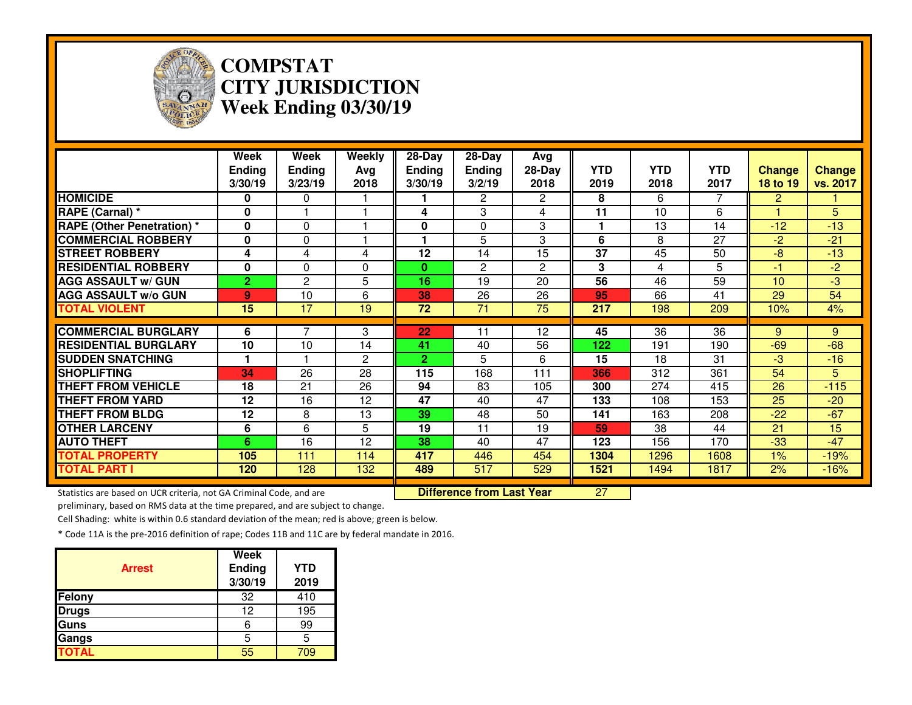

### **COMPSTAT CITY JURISDICTIONWeek Ending 03/30/19**

|                                                                     | Week<br><b>Ending</b><br>3/30/19 | Week<br><b>Ending</b><br>3/23/19 | Weekly<br>Avg<br>2018 | 28-Day<br><b>Ending</b><br>3/30/19 | $28-Day$<br><b>Ending</b><br>3/2/19 | Avg<br>28-Day<br>2018 | <b>YTD</b><br>2019 | <b>YTD</b><br>2018 | <b>YTD</b><br>2017 | <b>Change</b><br>18 to 19 | Change<br>vs. 2017 |
|---------------------------------------------------------------------|----------------------------------|----------------------------------|-----------------------|------------------------------------|-------------------------------------|-----------------------|--------------------|--------------------|--------------------|---------------------------|--------------------|
| <b>HOMICIDE</b>                                                     | 0                                | 0                                |                       |                                    | $\overline{2}$                      | $\mathbf{2}^{\prime}$ | 8                  | 6                  | 7                  | 2                         |                    |
| RAPE (Carnal) *                                                     | $\bf{0}$                         |                                  |                       | 4                                  | 3                                   | 4                     | 11                 | 10                 | 6                  |                           | 5                  |
| <b>RAPE (Other Penetration)</b> *                                   | $\bf{0}$                         | 0                                |                       | 0                                  | 0                                   | 3                     | 1                  | 13                 | 14                 | $-12$                     | $-13$              |
| <b>COMMERCIAL ROBBERY</b>                                           | 0                                | 0                                |                       |                                    | 5                                   | 3                     | 6                  | 8                  | 27                 | $-2$                      | $-21$              |
| <b>STREET ROBBERY</b>                                               | 4                                | 4                                | 4                     | 12                                 | 14                                  | 15                    | 37                 | 45                 | 50                 | $-8$                      | $-13$              |
| <b>RESIDENTIAL ROBBERY</b>                                          | 0                                | 0                                | 0                     | 0                                  | $\overline{2}$                      | $\mathbf{2}$          | 3                  | 4                  | 5                  | $-1$                      | $-2$               |
| <b>AGG ASSAULT w/ GUN</b>                                           | 2.                               | $\overline{c}$                   | 5                     | 16                                 | 19                                  | 20                    | $\overline{56}$    | 46                 | 59                 | 10                        | $-3$               |
| <b>AGG ASSAULT w/o GUN</b>                                          | 9                                | 10                               | 6                     | 38                                 | 26                                  | 26                    | 95                 | 66                 | 41                 | 29                        | 54                 |
| <b>TOTAL VIOLENT</b>                                                | $\overline{15}$                  | 17                               | $\overline{19}$       | $\overline{72}$                    | $\overline{71}$                     | $\overline{75}$       | $\overline{217}$   | 198                | 209                | 10%                       | 4%                 |
| <b>COMMERCIAL BURGLARY</b>                                          | 6                                |                                  | 3                     | 22                                 | 11                                  | 12                    | $\overline{45}$    | 36                 | 36                 | 9                         | 9                  |
| <b>RESIDENTIAL BURGLARY</b>                                         | 10                               | 10                               | 14                    | 41                                 | 40                                  | 56                    | 122                | 191                | 190                | $-69$                     | $-68$              |
| <b>SUDDEN SNATCHING</b>                                             |                                  |                                  | 2                     | $\overline{2}$                     | 5                                   | 6                     | 15                 | 18                 | 31                 | $-3$                      | $-16$              |
| <b>SHOPLIFTING</b>                                                  | 34                               | 26                               | 28                    | 115                                | 168                                 | 111                   | 366                | 312                | 361                | 54                        | 5                  |
| <b>THEFT FROM VEHICLE</b>                                           | 18                               | 21                               | 26                    | 94                                 | 83                                  | 105                   | 300                | 274                | 415                | 26                        | $-115$             |
| <b>THEFT FROM YARD</b>                                              | 12                               | 16                               | 12                    | 47                                 | 40                                  | 47                    | 133                | 108                | 153                | 25                        | $-20$              |
| <b>THEFT FROM BLDG</b>                                              | 12                               | 8                                | 13                    | 39                                 | 48                                  | 50                    | 141                | 163                | 208                | $-22$                     | $-67$              |
| <b>OTHER LARCENY</b>                                                | 6                                | 6                                | 5                     | 19                                 | 11                                  | 19                    | 59                 | 38                 | 44                 | 21                        | 15                 |
| <b>AUTO THEFT</b>                                                   | 6                                | 16                               | 12                    | 38                                 | 40                                  | 47                    | 123                | 156                | 170                | $-33$                     | $-47$              |
| <b>TOTAL PROPERTY</b>                                               | 105                              | 111                              | 114                   | 417                                | 446                                 | 454                   | 1304               | 1296               | 1608               | $1\%$                     | $-19%$             |
| <b>TOTAL PART I</b>                                                 | 120                              | 128                              | 132                   | 489                                | 517                                 | 529                   | 1521               | 1494               | 1817               | 2%                        | $-16%$             |
| Statistics are based on UCR criteria, not GA Criminal Code, and are |                                  |                                  |                       |                                    | <b>Difference from Last Year</b>    |                       | $\overline{27}$    |                    |                    |                           |                    |

Statistics are based on UCR criteria, not GA Criminal Code, and are **Difference from Last Year** 

preliminary, based on RMS data at the time prepared, and are subject to change.

Cell Shading: white is within 0.6 standard deviation of the mean; red is above; green is below.

| <b>Arrest</b> | <b>Week</b><br>Ending<br>3/30/19 | <b>YTD</b><br>2019 |
|---------------|----------------------------------|--------------------|
| Felony        | 32                               | 410                |
| <b>Drugs</b>  | 12                               | 195                |
| Guns          | հ                                | 99                 |
| Gangs         | 5                                | 5                  |
| <b>TOTAL</b>  | 55                               | 709                |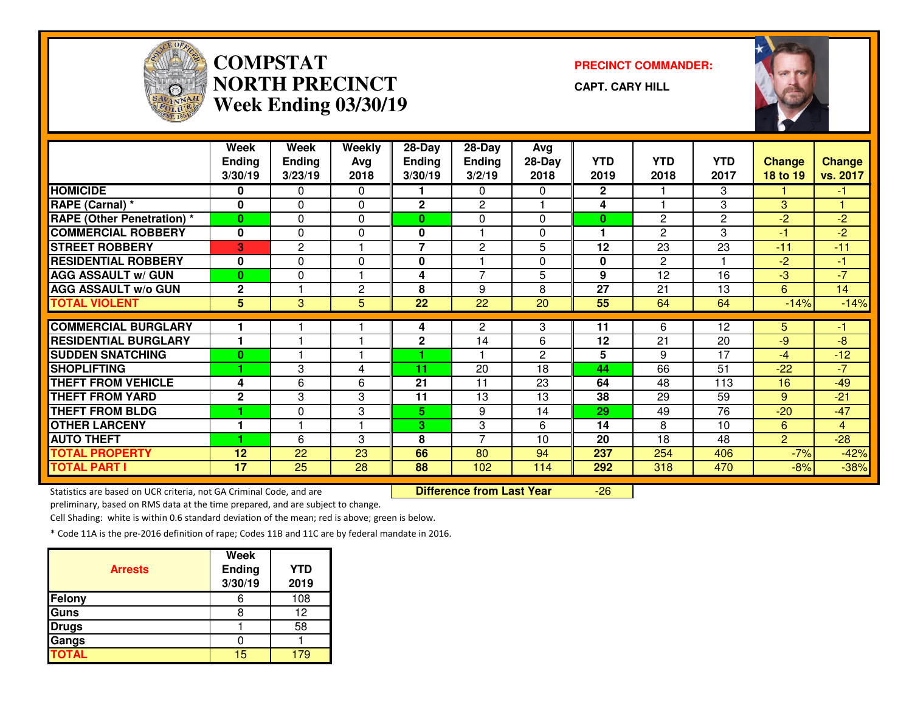

## **COMPSTATNORTH PRECINCTWeek Ending 03/30/19**

**PRECINCT COMMANDER:**

**CAPT. CARY HILL**



|                                                                     | Week           | Week           | Weekly         | 28-Day         | 28-Day                           | Avg          |                |                 |                 |                         |                |
|---------------------------------------------------------------------|----------------|----------------|----------------|----------------|----------------------------------|--------------|----------------|-----------------|-----------------|-------------------------|----------------|
|                                                                     | <b>Ending</b>  | <b>Ending</b>  | Avg            | <b>Ending</b>  | <b>Ending</b>                    | $28-Day$     | <b>YTD</b>     | <b>YTD</b>      | <b>YTD</b>      | <b>Change</b>           | <b>Change</b>  |
|                                                                     | 3/30/19        | 3/23/19        | 2018           | 3/30/19        | 3/2/19                           | 2018         | 2019           | 2018            | 2017            | 18 to 19                | vs. 2017       |
| <b>HOMICIDE</b>                                                     | 0              | 0              | $\Omega$       |                | $\Omega$                         | 0            | $\overline{2}$ |                 | 3               |                         | -1             |
| RAPE (Carnal) *                                                     | $\mathbf{0}$   | 0              | $\mathbf{0}$   | $\overline{2}$ | $\overline{c}$                   |              | 4              |                 | 3               | 3                       |                |
| <b>RAPE (Other Penetration)</b> *                                   | $\bf{0}$       | $\Omega$       | $\Omega$       | $\mathbf{0}$   | $\Omega$                         | 0            | $\bf{0}$       | $\overline{c}$  | $\overline{c}$  | $-2$                    | $-2$           |
| <b>COMMERCIAL ROBBERY</b>                                           | $\mathbf 0$    | 0              | $\Omega$       | 0              |                                  | 0            | 1              | $\overline{2}$  | 3               | $\overline{\mathbf{1}}$ | $-2$           |
| <b>STREET ROBBERY</b>                                               | 3              | $\overline{c}$ |                | $\overline{7}$ | $\overline{2}$                   | 5            | 12             | 23              | 23              | $-11$                   | $-11$          |
| <b>RESIDENTIAL ROBBERY</b>                                          | 0              | 0              | 0              | 0              |                                  | 0            | $\mathbf 0$    | $\overline{2}$  |                 | $-2$                    | $-1$           |
| <b>AGG ASSAULT w/ GUN</b>                                           | $\mathbf{0}$   | 0              |                | 4              | $\overline{7}$                   | 5            | 9              | $\overline{12}$ | $\overline{16}$ | $-3$                    | $-7$           |
| <b>AGG ASSAULT w/o GUN</b>                                          | $\mathbf{2}$   |                | $\overline{c}$ | 8              | 9                                | 8            | 27             | 21              | 13              | 6                       | 14             |
| <b>TOTAL VIOLENT</b>                                                | 5 <sup>5</sup> | 3              | 5              | 22             | 22                               | 20           | 55             | 64              | 64              | $-14%$                  | $-14%$         |
| <b>COMMERCIAL BURGLARY</b>                                          |                |                |                | 4              | $\overline{2}$                   | 3            | 11             | 6               | 12              | 5.                      | -1             |
| <b>RESIDENTIAL BURGLARY</b>                                         |                |                |                | $\mathbf{2}$   | 14                               | 6            | 12             | 21              | 20              | -9                      | $-8$           |
| <b>SUDDEN SNATCHING</b>                                             | $\bf{0}$       |                |                |                |                                  | $\mathbf{2}$ | 5              | 9               | 17              | $-4$                    | $-12$          |
| <b>SHOPLIFTING</b>                                                  |                | 3              | 4              | 11             | 20                               | 18           | 44             | 66              | 51              | $-22$                   | $-7$           |
| <b>THEFT FROM VEHICLE</b>                                           | 4              | 6              | 6              | 21             | 11                               | 23           | 64             | 48              | 113             | 16                      | $-49$          |
| <b>THEFT FROM YARD</b>                                              | $\mathbf{2}$   | 3              | 3              | 11             | 13                               | 13           | 38             | 29              | 59              | 9                       | $-21$          |
| <b>THEFT FROM BLDG</b>                                              |                | 0              | 3              | 5.             | 9                                | 14           | 29             | 49              | 76              | $-20$                   | $-47$          |
| <b>OTHER LARCENY</b>                                                |                |                |                | 3              | 3                                | 6            | 14             | 8               | 10              | 6                       | $\overline{4}$ |
| <b>AUTO THEFT</b>                                                   |                | 6              | 3              | 8              | $\overline{7}$                   | 10           | 20             | 18              | 48              | $\overline{2}$          | $-28$          |
| <b>TOTAL PROPERTY</b>                                               | 12             | 22             | 23             | 66             | 80                               | 94           | 237            | 254             | 406             | $-7%$                   | $-42%$         |
| <b>TOTAL PART I</b>                                                 | 17             | 25             | 28             | 88             | 102                              | 114          | 292            | 318             | 470             | $-8%$                   | $-38%$         |
| Statistics are based on UCR criteria, not GA Criminal Code, and are |                |                |                |                | <b>Difference from Last Year</b> |              | $-26$          |                 |                 |                         |                |

Statistics are based on UCR criteria, not GA Criminal Code, and are **Difference from Last Year** 

preliminary, based on RMS data at the time prepared, and are subject to change.

Cell Shading: white is within 0.6 standard deviation of the mean; red is above; green is below.

| <b>Arrests</b> | <b>Week</b><br>Ending<br>3/30/19 | <b>YTD</b><br>2019 |
|----------------|----------------------------------|--------------------|
| <b>Felony</b>  |                                  | 108                |
| Guns           |                                  | 12                 |
| <b>Drugs</b>   |                                  | 58                 |
| Gangs          |                                  |                    |
| <b>TOTAL</b>   | 15                               |                    |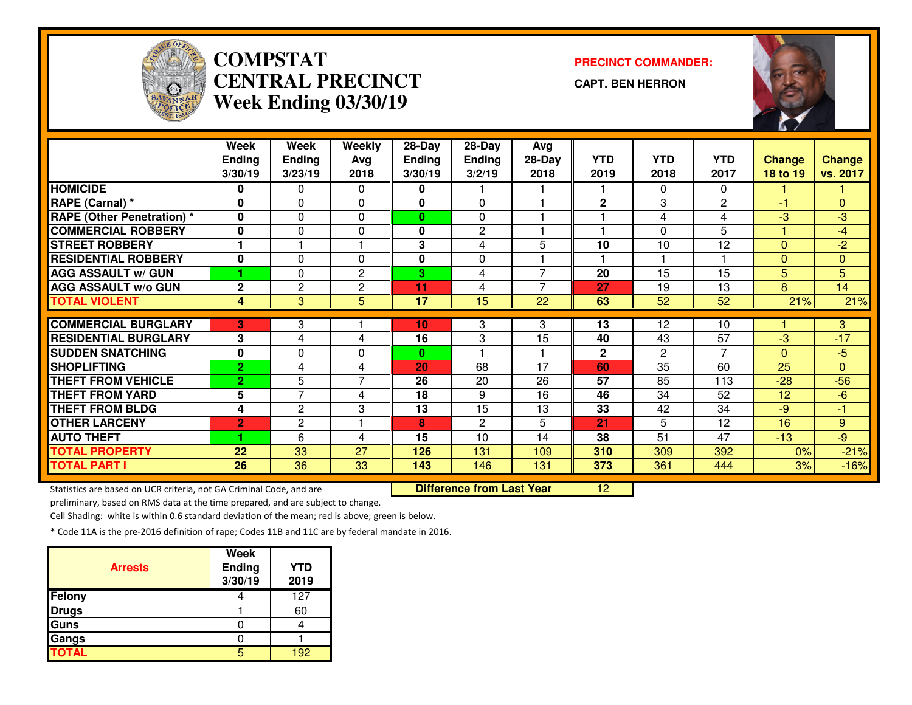

# **COMPSTAT PRECINCT COMMANDER: CENTRAL PRECINCTWeek Ending 03/30/19**

**CAPT. BEN HERRON**



|                                   | Week           | Week           | Weekly         | 28-Day          | 28-Day         | Avg            |              |                 |                 |               |               |
|-----------------------------------|----------------|----------------|----------------|-----------------|----------------|----------------|--------------|-----------------|-----------------|---------------|---------------|
|                                   | <b>Ending</b>  | <b>Ending</b>  | Avg            | <b>Ending</b>   | <b>Ending</b>  | 28-Day         | <b>YTD</b>   | <b>YTD</b>      | <b>YTD</b>      | <b>Change</b> | <b>Change</b> |
|                                   | 3/30/19        | 3/23/19        | 2018           | 3/30/19         | 3/2/19         | 2018           | 2019         | 2018            | 2017            | 18 to 19      | vs. 2017      |
| <b>HOMICIDE</b>                   | 0              | 0              | 0              | 0               |                |                |              | 0               | 0               |               |               |
| RAPE (Carnal) *                   | $\bf{0}$       | $\Omega$       | $\Omega$       | 0               | $\Omega$       |                | $\mathbf{2}$ | 3               | $\overline{2}$  | $-1$          | $\Omega$      |
| <b>RAPE (Other Penetration) *</b> | $\bf{0}$       | $\Omega$       | $\Omega$       | 0               | 0              |                |              | 4               | 4               | -3            | $-3$          |
| <b>COMMERCIAL ROBBERY</b>         | 0              | 0              | 0              | 0               | 2              |                | 1            | $\Omega$        | 5               |               | $-4$          |
| <b>STREET ROBBERY</b>             |                |                |                | 3               | 4              | 5              | 10           | 10              | 12              | $\Omega$      | $-2$          |
| <b>RESIDENTIAL ROBBERY</b>        | 0              | 0              | $\Omega$       | 0               | $\Omega$       |                | 1            |                 |                 | $\mathbf{0}$  | $\Omega$      |
| <b>AGG ASSAULT w/ GUN</b>         |                | 0              | $\overline{c}$ | 3               | 4              | $\overline{7}$ | 20           | 15              | 15              | 5             | 5             |
| <b>AGG ASSAULT w/o GUN</b>        | $\mathbf{2}$   | $\overline{c}$ | $\mathbf{2}$   | 11              | $\overline{4}$ | 7              | 27           | 19              | 13              | 8             | 14            |
| <b>TOTAL VIOLENT</b>              | 4              | 3              | 5              | 17              | 15             | 22             | 63           | 52              | $\overline{52}$ | 21%           | 21%           |
|                                   |                |                |                |                 |                |                |              |                 |                 |               |               |
| <b>COMMERCIAL BURGLARY</b>        | 3              | 3              |                | 10 <sub>1</sub> | 3              | 3              | 13           | 12 <sup>2</sup> | 10              |               | 3             |
| <b>RESIDENTIAL BURGLARY</b>       | 3              | 4              | 4              | 16              | 3              | 15             | 40           | 43              | 57              | -3            | $-17$         |
| <b>SUDDEN SNATCHING</b>           | 0              | 0              | 0              | 0               |                |                | $\mathbf{2}$ | $\overline{2}$  | $\overline{7}$  | $\Omega$      | $-5$          |
| <b>SHOPLIFTING</b>                | $\overline{2}$ | 4              | 4              | 20              | 68             | 17             | 60           | 35              | 60              | 25            | $\mathbf{0}$  |
| <b>THEFT FROM VEHICLE</b>         | $\overline{2}$ | 5              | $\overline{7}$ | 26              | 20             | 26             | 57           | 85              | 113             | $-28$         | $-56$         |
| <b>THEFT FROM YARD</b>            | 5              | $\overline{7}$ | 4              | 18              | 9              | 16             | 46           | 34              | 52              | 12            | $-6$          |
| <b>THEFT FROM BLDG</b>            | 4              | $\mathbf{2}$   | 3              | 13              | 15             | 13             | 33           | 42              | 34              | $-9$          | -1            |
| <b>OTHER LARCENY</b>              | $\overline{2}$ | $\overline{c}$ |                | 8               | $\mathbf{2}$   | 5              | 21           | 5               | 12              | 16            | 9             |
| <b>AUTO THEFT</b>                 |                | 6              | 4              | 15              | 10             | 14             | 38           | 51              | 47              | $-13$         | $-9$          |
| <b>TOTAL PROPERTY</b>             | 22             | 33             | 27             | 126             | 131            | 109            | 310          | 309             | 392             | 0%            | $-21%$        |
| <b>TOTAL PART I</b>               | 26             | 36             | 33             | 143             | 146            | 131            | 373          | 361             | 444             | 3%            | $-16%$        |

Statistics are based on UCR criteria, not GA Criminal Code, and are **Difference from Last Year** 

<sup>12</sup>

preliminary, based on RMS data at the time prepared, and are subject to change.

Cell Shading: white is within 0.6 standard deviation of the mean; red is above; green is below.

| <b>Arrests</b> | <b>Week</b><br><b>Ending</b><br>3/30/19 | <b>YTD</b><br>2019 |
|----------------|-----------------------------------------|--------------------|
| Felony         |                                         | 127                |
| <b>Drugs</b>   |                                         | 60                 |
| Guns           |                                         |                    |
| Gangs          |                                         |                    |
| <b>TOTAL</b>   |                                         | 192                |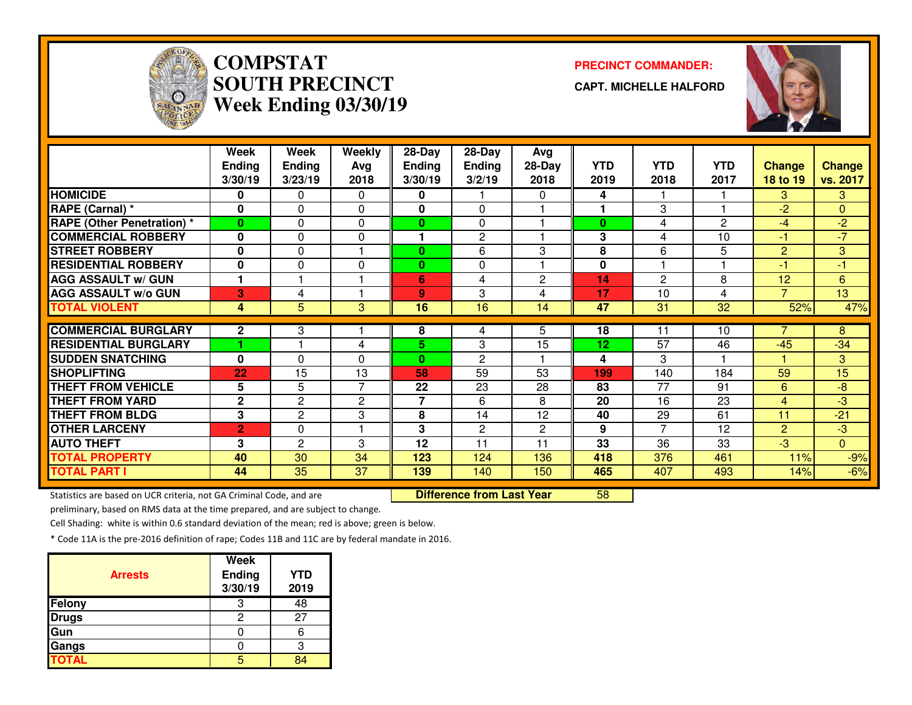

# **COMPSTATSOUTH PRECINCTWeek Ending 03/30/19**

#### **PRECINCT COMMANDER:**

**CAPT. MICHELLE HALFORD**



|                                   | Week<br><b>Ending</b><br>3/30/19 | Week<br><b>Ending</b><br>3/23/19 | Weekly<br>Avg<br>2018 | $28 - Day$<br><b>Ending</b><br>3/30/19 | 28-Day<br><b>Ending</b><br>3/2/19 | Avg<br>$28-Day$<br>2018 | <b>YTD</b><br>2019 | <b>YTD</b><br>2018 | <b>YTD</b><br>2017 | <b>Change</b><br>18 to 19 | <b>Change</b><br>vs. 2017 |
|-----------------------------------|----------------------------------|----------------------------------|-----------------------|----------------------------------------|-----------------------------------|-------------------------|--------------------|--------------------|--------------------|---------------------------|---------------------------|
| <b>HOMICIDE</b>                   | 0                                | 0                                | $\Omega$              | 0                                      |                                   | 0                       | 4                  |                    |                    | 3.                        | 3.                        |
| RAPE (Carnal) *                   | 0                                | 0                                | $\Omega$              | $\mathbf{0}$                           | $\Omega$                          |                         | 1                  | 3                  |                    | $-2$                      | $\Omega$                  |
| <b>RAPE (Other Penetration)</b> * | $\bf{0}$                         | 0                                | 0                     | $\mathbf{0}$                           | 0                                 |                         | $\bf{0}$           | 4                  | $\mathbf{2}$       | $-4$                      | $-2$                      |
| <b>COMMERCIAL ROBBERY</b>         | $\bf{0}$                         | 0                                | 0                     |                                        | $\mathbf{2}$                      |                         | 3                  | 4                  | 10                 | -1                        | $-7$                      |
| <b>STREET ROBBERY</b>             | $\bf{0}$                         | 0                                |                       | $\bf{0}$                               | 6                                 | 3                       | 8                  | 6                  | 5                  | $\overline{2}$            | 3                         |
| <b>RESIDENTIAL ROBBERY</b>        | $\bf{0}$                         | 0                                | $\Omega$              | $\mathbf{0}$                           | $\Omega$                          |                         | 0                  |                    |                    | $-1$                      | $-1$                      |
| <b>AGG ASSAULT w/ GUN</b>         | 1                                |                                  |                       | 6                                      | 4                                 | $\overline{2}$          | 14                 | 2                  | 8                  | 12                        | $6\phantom{1}$            |
| <b>AGG ASSAULT w/o GUN</b>        | 3                                | 4                                |                       | 9                                      | 3                                 | 4                       | 17                 | 10                 | 4                  | 7                         | 13                        |
| <b>TOTAL VIOLENT</b>              | 4                                | 5                                | 3                     | 16                                     | 16                                | 14                      | 47                 | 31                 | $\overline{32}$    | 52%                       | 47%                       |
|                                   |                                  |                                  |                       |                                        |                                   |                         |                    |                    |                    | 7                         |                           |
| <b>COMMERCIAL BURGLARY</b>        | 2                                | 3                                |                       | 8                                      | 4                                 | 5                       | 18                 | 11                 | 10                 |                           | 8                         |
| <b>RESIDENTIAL BURGLARY</b>       |                                  |                                  | 4                     | 5.                                     | 3                                 | 15                      | 12                 | $\overline{57}$    | 46                 | $-45$                     | $-34$                     |
| <b>SUDDEN SNATCHING</b>           | $\bf{0}$                         | 0                                | 0                     | $\bf{0}$                               | $\mathbf{2}$                      |                         | 4                  | 3                  |                    |                           | 3                         |
| <b>SHOPLIFTING</b>                | 22                               | 15                               | 13                    | 58                                     | 59                                | 53                      | 199                | 140                | 184                | 59                        | 15                        |
| <b>THEFT FROM VEHICLE</b>         | 5                                | 5                                | 7                     | 22                                     | 23                                | 28                      | 83                 | 77                 | 91                 | 6                         | $-8$                      |
| <b>THEFT FROM YARD</b>            | $\mathbf{2}$                     | 2                                | 2                     | 7                                      | 6                                 | 8                       | 20                 | 16                 | 23                 | $\overline{4}$            | -3                        |
| <b>THEFT FROM BLDG</b>            | 3                                | 2                                | 3                     | 8                                      | 14                                | 12                      | 40                 | 29                 | 61                 | 11                        | $-21$                     |
| <b>OTHER LARCENY</b>              | $\overline{2}$                   | 0                                |                       | 3                                      | $\overline{2}$                    | $\mathbf{2}$            | 9                  | 7                  | 12                 | $\overline{2}$            | $-3$                      |
| <b>AUTO THEFT</b>                 | 3                                | $\mathbf{2}$                     | 3                     | 12                                     | 11                                | 11                      | 33                 | 36                 | 33                 | $-3$                      | $\overline{0}$            |
| <b>TOTAL PROPERTY</b>             | 40                               | 30                               | 34                    | 123                                    | 124                               | 136                     | 418                | 376                | 461                | 11%                       | $-9%$                     |
| <b>TOTAL PART I</b>               | 44                               | 35                               | 37                    | 139                                    | 140                               | 150                     | 465                | 407                | 493                | 14%                       | $-6%$                     |

Statistics are based on UCR criteria, not GA Criminal Code, and are **Difference from Last Year** 

<sup>58</sup>

preliminary, based on RMS data at the time prepared, and are subject to change.

Cell Shading: white is within 0.6 standard deviation of the mean; red is above; green is below.

| <b>Arrests</b> | <b>Week</b><br>Ending<br>3/30/19 | <b>YTD</b><br>2019 |
|----------------|----------------------------------|--------------------|
| Felony         | 3                                | 48                 |
| <b>Drugs</b>   | 2                                | 27                 |
| Gun            |                                  |                    |
| Gangs          |                                  |                    |
| <b>TOTAL</b>   |                                  |                    |